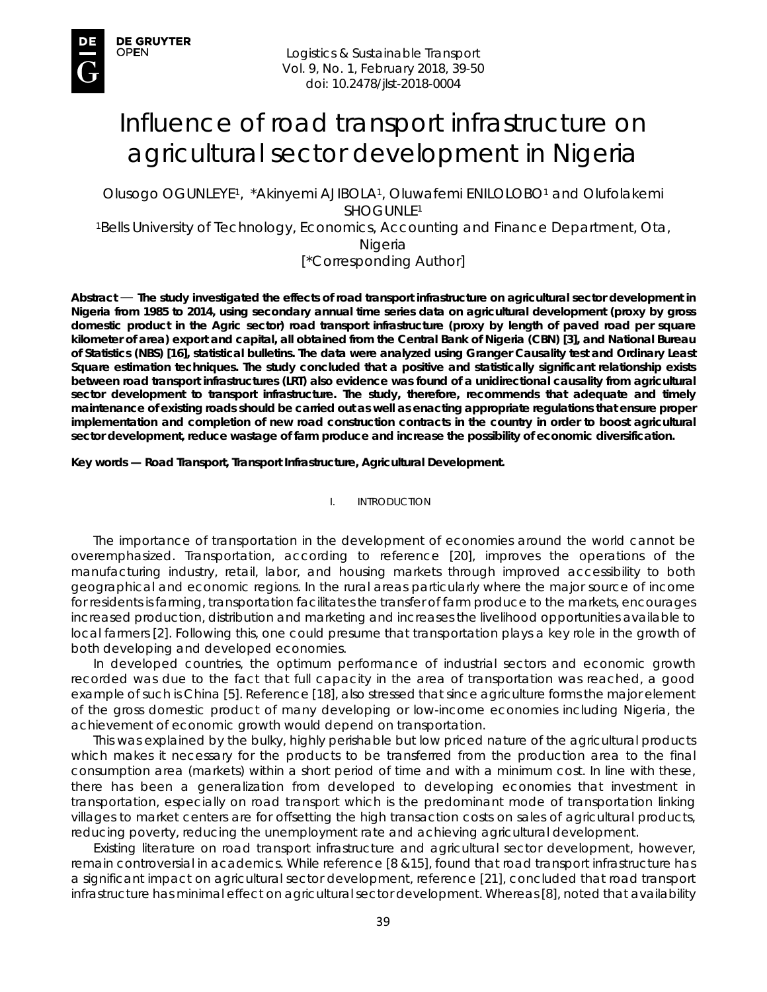# Influence of road transport infrastructure on agricultural sector development in Nigeria

Olusogo OGUNLEYE1, \*Akinyemi AJIBOLA1, Oluwafemi ENILOLOBO1 and Olufolakemi SHOGUNLE1

1Bells University of Technology, Economics, Accounting and Finance Department, Ota, Nigeria

[\*Corresponding Author]

*Abstract* — **The study investigated the effects of road transport infrastructure on agricultural sector development in Nigeria from 1985 to 2014, using secondary annual time series data on agricultural development (proxy by gross domestic product in the Agric sector) road transport infrastructure (proxy by length of paved road per square kilometer of area) export and capital, all obtained from the Central Bank of Nigeria (CBN) [3], and National Bureau of Statistics (NBS) [16], statistical bulletins. The data were analyzed using Granger Causality test and Ordinary Least Square estimation techniques. The study concluded that a positive and statistically significant relationship exists between road transport infrastructures (LRT) also evidence was found of a unidirectional causality from agricultural sector development to transport infrastructure. The study, therefore, recommends that adequate and timely maintenance of existing roads should be carried out as well as enacting appropriate regulations that ensure proper implementation and completion of new road construction contracts in the country in order to boost agricultural sector development, reduce wastage of farm produce and increase the possibility of economic diversification.** 

*Key words* **— Road Transport, Transport Infrastructure, Agricultural Development.** 

I. INTRODUCTION

The importance of transportation in the development of economies around the world cannot be overemphasized. Transportation, according to reference [20], improves the operations of the manufacturing industry, retail, labor, and housing markets through improved accessibility to both geographical and economic regions. In the rural areas particularly where the major source of income for residents is farming, transportation facilitates the transfer of farm produce to the markets, encourages increased production, distribution and marketing and increases the livelihood opportunities available to local farmers [2]. Following this, one could presume that transportation plays a key role in the growth of both developing and developed economies.

In developed countries, the optimum performance of industrial sectors and economic growth recorded was due to the fact that full capacity in the area of transportation was reached, a good example of such is China [5]. Reference [18], also stressed that since agriculture forms the major element of the gross domestic product of many developing or low-income economies including Nigeria, the achievement of economic growth would depend on transportation.

This was explained by the bulky, highly perishable but low priced nature of the agricultural products which makes it necessary for the products to be transferred from the production area to the final consumption area (markets) within a short period of time and with a minimum cost. In line with these, there has been a generalization from developed to developing economies that investment in transportation, especially on road transport which is the predominant mode of transportation linking villages to market centers are for offsetting the high transaction costs on sales of agricultural products, reducing poverty, reducing the unemployment rate and achieving agricultural development.

Existing literature on road transport infrastructure and agricultural sector development, however, remain controversial in academics. While reference [8 &15], found that road transport infrastructure has a significant impact on agricultural sector development, reference [21], concluded that road transport infrastructure has minimal effect on agricultural sector development. Whereas [8], noted that availability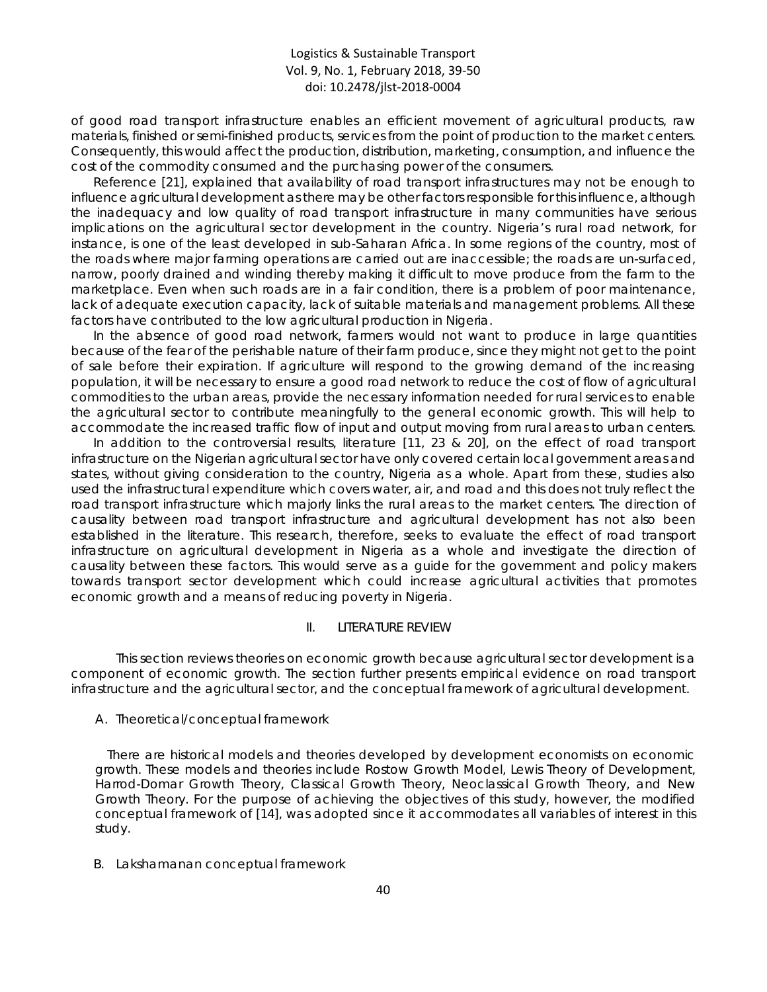of good road transport infrastructure enables an efficient movement of agricultural products, raw materials, finished or semi-finished products, services from the point of production to the market centers. Consequently, this would affect the production, distribution, marketing, consumption, and influence the cost of the commodity consumed and the purchasing power of the consumers.

Reference [21], explained that availability of road transport infrastructures may not be enough to influence agricultural development as there may be other factors responsible for this influence, although the inadequacy and low quality of road transport infrastructure in many communities have serious implications on the agricultural sector development in the country. Nigeria's rural road network, for instance, is one of the least developed in sub-Saharan Africa. In some regions of the country, most of the roads where major farming operations are carried out are inaccessible; the roads are un-surfaced, narrow, poorly drained and winding thereby making it difficult to move produce from the farm to the marketplace. Even when such roads are in a fair condition, there is a problem of poor maintenance, lack of adequate execution capacity, lack of suitable materials and management problems. All these factors have contributed to the low agricultural production in Nigeria.

In the absence of good road network, farmers would not want to produce in large quantities because of the fear of the perishable nature of their farm produce, since they might not get to the point of sale before their expiration. If agriculture will respond to the growing demand of the increasing population, it will be necessary to ensure a good road network to reduce the cost of flow of agricultural commodities to the urban areas, provide the necessary information needed for rural services to enable the agricultural sector to contribute meaningfully to the general economic growth. This will help to accommodate the increased traffic flow of input and output moving from rural areas to urban centers.

In addition to the controversial results, literature [11, 23 & 20], on the effect of road transport infrastructure on the Nigerian agricultural sector have only covered certain local government areas and states, without giving consideration to the country, Nigeria as a whole. Apart from these, studies also used the infrastructural expenditure which covers water, air, and road and this does not truly reflect the road transport infrastructure which majorly links the rural areas to the market centers. The direction of causality between road transport infrastructure and agricultural development has not also been established in the literature. This research, therefore, seeks to evaluate the effect of road transport infrastructure on agricultural development in Nigeria as a whole and investigate the direction of causality between these factors. This would serve as a guide for the government and policy makers towards transport sector development which could increase agricultural activities that promotes economic growth and a means of reducing poverty in Nigeria.

## II. LITERATURE REVIEW

This section reviews theories on economic growth because agricultural sector development is a component of economic growth. The section further presents empirical evidence on road transport infrastructure and the agricultural sector, and the conceptual framework of agricultural development.

#### *A. Theoretical/conceptual framework*

There are historical models and theories developed by development economists on economic growth. These models and theories include Rostow Growth Model, Lewis Theory of Development, Harrod-Domar Growth Theory, Classical Growth Theory, Neoclassical Growth Theory, and New Growth Theory. For the purpose of achieving the objectives of this study, however, the modified conceptual framework of [14], was adopted since it accommodates all variables of interest in this study.

#### *B. Lakshamanan conceptual framework*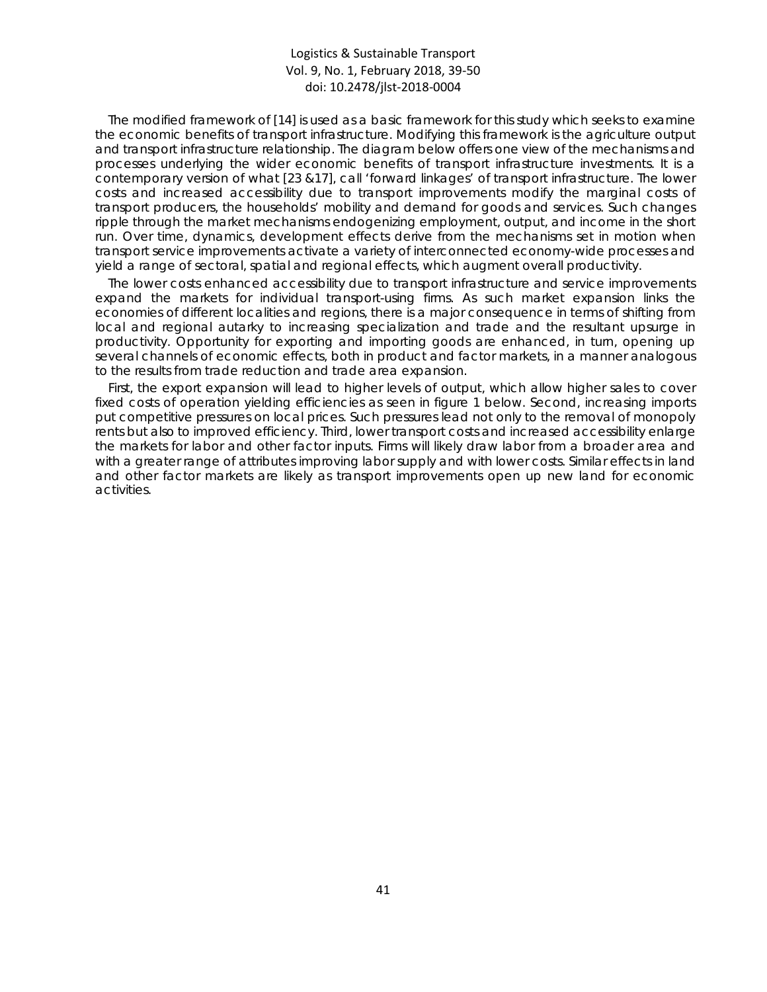The modified framework of [14] is used as a basic framework for this study which seeks to examine the economic benefits of transport infrastructure. Modifying this framework is the agriculture output and transport infrastructure relationship. The diagram below offers one view of the mechanisms and processes underlying the wider economic benefits of transport infrastructure investments. It is a contemporary version of what [23 &17], call 'forward linkages' of transport infrastructure. The lower costs and increased accessibility due to transport improvements modify the marginal costs of transport producers, the households' mobility and demand for goods and services. Such changes ripple through the market mechanisms endogenizing employment, output, and income in the short run. Over time, dynamics, development effects derive from the mechanisms set in motion when transport service improvements activate a variety of interconnected economy-wide processes and yield a range of sectoral, spatial and regional effects, which augment overall productivity.

The lower costs enhanced accessibility due to transport infrastructure and service improvements expand the markets for individual transport-using firms. As such market expansion links the economies of different localities and regions, there is a major consequence in terms of shifting from local and regional autarky to increasing specialization and trade and the resultant upsurge in productivity. Opportunity for exporting and importing goods are enhanced, in turn, opening up several channels of economic effects, both in product and factor markets, in a manner analogous to the results from trade reduction and trade area expansion.

First, the export expansion will lead to higher levels of output, which allow higher sales to cover fixed costs of operation yielding efficiencies as seen in figure 1 below. Second, increasing imports put competitive pressures on local prices. Such pressures lead not only to the removal of monopoly rents but also to improved efficiency. Third, lower transport costs and increased accessibility enlarge the markets for labor and other factor inputs. Firms will likely draw labor from a broader area and with a greater range of attributes improving labor supply and with lower costs. Similar effects in land and other factor markets are likely as transport improvements open up new land for economic activities.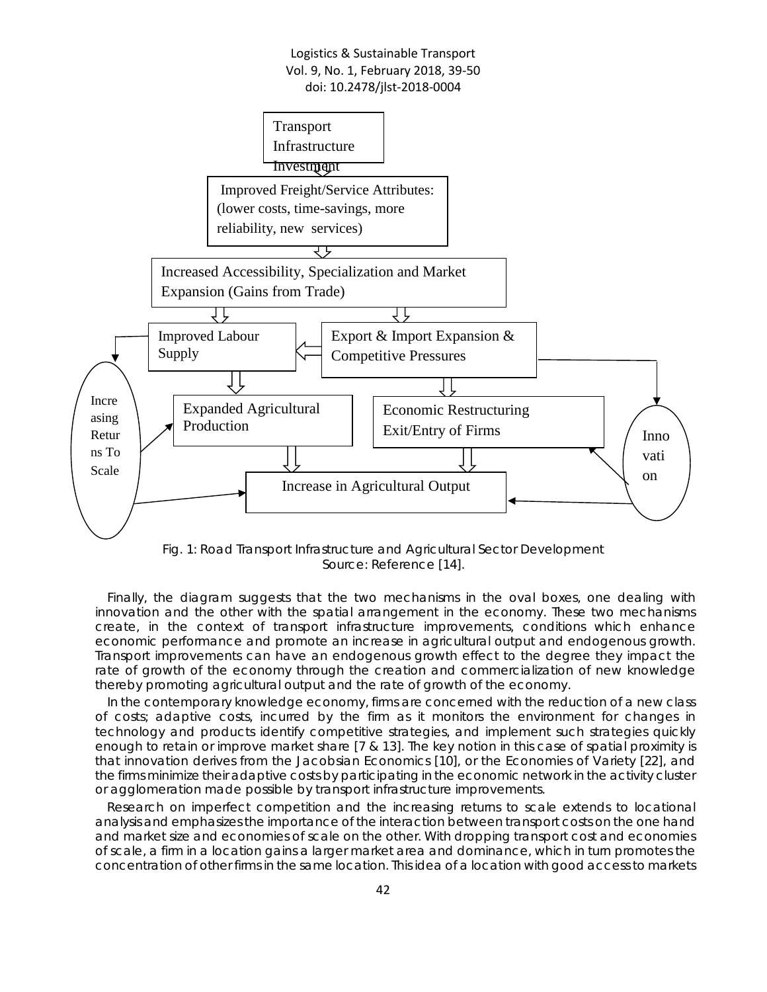

Fig. 1: Road Transport Infrastructure and Agricultural Sector Development Source: Reference [14].

Finally, the diagram suggests that the two mechanisms in the oval boxes, one dealing with innovation and the other with the spatial arrangement in the economy. These two mechanisms create, in the context of transport infrastructure improvements, conditions which enhance economic performance and promote an increase in agricultural output and endogenous growth. Transport improvements can have an endogenous growth effect to the degree they impact the rate of growth of the economy through the creation and commercialization of new knowledge thereby promoting agricultural output and the rate of growth of the economy.

In the contemporary knowledge economy, firms are concerned with the reduction of a new class of costs; adaptive costs, incurred by the firm as it monitors the environment for changes in technology and products identify competitive strategies, and implement such strategies quickly enough to retain or improve market share [7 & 13]. The key notion in this case of spatial proximity is that innovation derives from the Jacobsian Economics [10], or the Economies of Variety [22], and the firms minimize their adaptive costs by participating in the economic network in the activity cluster or agglomeration made possible by transport infrastructure improvements.

Research on imperfect competition and the increasing returns to scale extends to locational analysis and emphasizes the importance of the interaction between transport costs on the one hand and market size and economies of scale on the other. With dropping transport cost and economies of scale, a firm in a location gains a larger market area and dominance, which in turn promotes the concentration of other firms in the same location. This idea of a location with good access to markets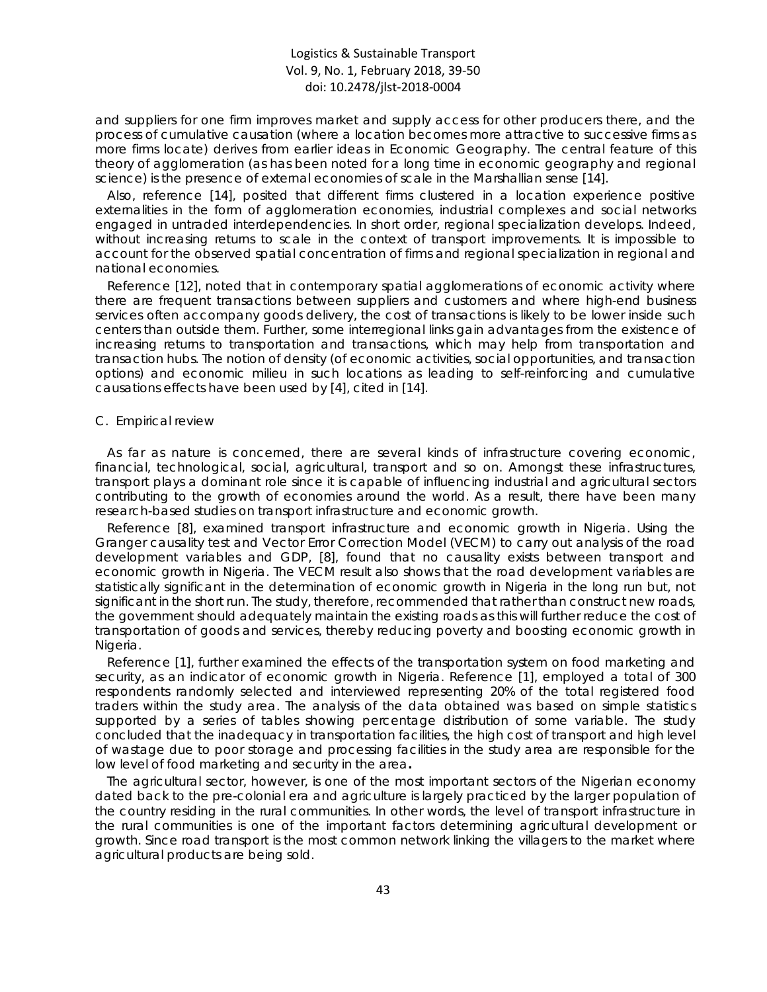and suppliers for one firm improves market and supply access for other producers there, and the process of cumulative causation (where a location becomes more attractive to successive firms as more firms locate) derives from earlier ideas in Economic Geography. The central feature of this theory of agglomeration (as has been noted for a long time in economic geography and regional science) is the presence of external economies of scale in the Marshallian sense [14].

Also, reference [14], posited that different firms clustered in a location experience positive externalities in the form of agglomeration economies, industrial complexes and social networks engaged in untraded interdependencies. In short order, regional specialization develops. Indeed, without increasing returns to scale in the context of transport improvements. It is impossible to account for the observed spatial concentration of firms and regional specialization in regional and national economies.

Reference [12], noted that in contemporary spatial agglomerations of economic activity where there are frequent transactions between suppliers and customers and where high-end business services often accompany goods delivery, the cost of transactions is likely to be lower inside such centers than outside them. Further, some interregional links gain advantages from the existence of increasing returns to transportation and transactions, which may help from transportation and transaction hubs. The notion of density (of economic activities, social opportunities, and transaction options) and economic milieu in such locations as leading to self-reinforcing and cumulative causations effects have been used by [4], cited in [14].

#### *C. Empirical review*

As far as nature is concerned, there are several kinds of infrastructure covering economic, financial, technological, social, agricultural, transport and so on. Amongst these infrastructures, transport plays a dominant role since it is capable of influencing industrial and agricultural sectors contributing to the growth of economies around the world. As a result, there have been many research-based studies on transport infrastructure and economic growth.

Reference [8], examined transport infrastructure and economic growth in Nigeria. Using the Granger causality test and Vector Error Correction Model (VECM) to carry out analysis of the road development variables and GDP, [8], found that no causality exists between transport and economic growth in Nigeria. The VECM result also shows that the road development variables are statistically significant in the determination of economic growth in Nigeria in the long run but, not significant in the short run. The study, therefore, recommended that rather than construct new roads, the government should adequately maintain the existing roads as this will further reduce the cost of transportation of goods and services, thereby reducing poverty and boosting economic growth in Nigeria.

Reference [1], further examined the effects of the transportation system on food marketing and security, as an indicator of economic growth in Nigeria. Reference [1], employed a total of 300 respondents randomly selected and interviewed representing 20% of the total registered food traders within the study area. The analysis of the data obtained was based on simple statistics supported by a series of tables showing percentage distribution of some variable. The study concluded that the inadequacy in transportation facilities, the high cost of transport and high level of wastage due to poor storage and processing facilities in the study area are responsible for the low level of food marketing and security in the area**.**

The agricultural sector, however, is one of the most important sectors of the Nigerian economy dated back to the pre-colonial era and agriculture is largely practiced by the larger population of the country residing in the rural communities. In other words, the level of transport infrastructure in the rural communities is one of the important factors determining agricultural development or growth. Since road transport is the most common network linking the villagers to the market where agricultural products are being sold.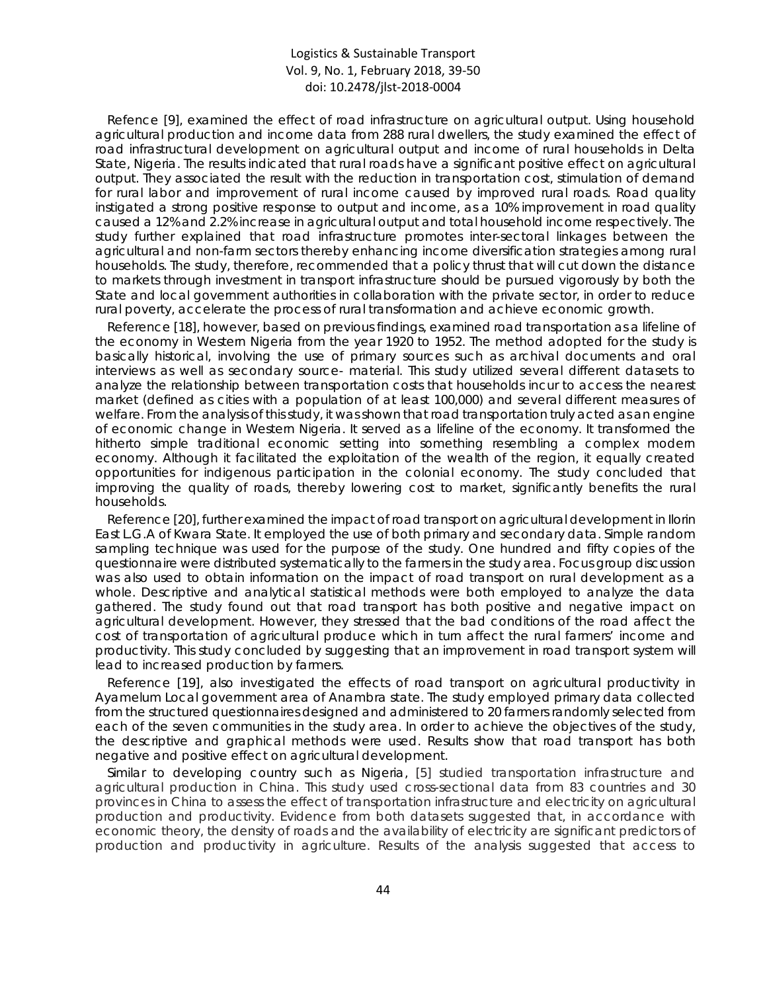Refence [9], examined the effect of road infrastructure on agricultural output. Using household agricultural production and income data from 288 rural dwellers, the study examined the effect of road infrastructural development on agricultural output and income of rural households in Delta State, Nigeria. The results indicated that rural roads have a significant positive effect on agricultural output. They associated the result with the reduction in transportation cost, stimulation of demand for rural labor and improvement of rural income caused by improved rural roads. Road quality instigated a strong positive response to output and income, as a 10% improvement in road quality caused a 12% and 2.2% increase in agricultural output and total household income respectively. The study further explained that road infrastructure promotes inter-sectoral linkages between the agricultural and non-farm sectors thereby enhancing income diversification strategies among rural households. The study, therefore, recommended that a policy thrust that will cut down the distance to markets through investment in transport infrastructure should be pursued vigorously by both the State and local government authorities in collaboration with the private sector, in order to reduce rural poverty, accelerate the process of rural transformation and achieve economic growth.

Reference [18], however, based on previous findings, examined road transportation as a lifeline of the economy in Western Nigeria from the year 1920 to 1952. The method adopted for the study is basically historical, involving the use of primary sources such as archival documents and oral interviews as well as secondary source- material. This study utilized several different datasets to analyze the relationship between transportation costs that households incur to access the nearest market (defined as cities with a population of at least 100,000) and several different measures of welfare. From the analysis of this study, it was shown that road transportation truly acted as an engine of economic change in Western Nigeria. It served as a lifeline of the economy. It transformed the hitherto simple traditional economic setting into something resembling a complex modern economy. Although it facilitated the exploitation of the wealth of the region, it equally created opportunities for indigenous participation in the colonial economy. The study concluded that improving the quality of roads, thereby lowering cost to market, significantly benefits the rural households.

Reference [20], further examined the impact of road transport on agricultural development in Ilorin East L.G.A of Kwara State. It employed the use of both primary and secondary data. Simple random sampling technique was used for the purpose of the study. One hundred and fifty copies of the questionnaire were distributed systematically to the farmers in the study area. Focus group discussion was also used to obtain information on the impact of road transport on rural development as a whole. Descriptive and analytical statistical methods were both employed to analyze the data gathered. The study found out that road transport has both positive and negative impact on agricultural development. However, they stressed that the bad conditions of the road affect the cost of transportation of agricultural produce which in turn affect the rural farmers' income and productivity. This study concluded by suggesting that an improvement in road transport system will lead to increased production by farmers.

Reference [19], also investigated the effects of road transport on agricultural productivity in Ayamelum Local government area of Anambra state. The study employed primary data collected from the structured questionnaires designed and administered to 20 farmers randomly selected from each of the seven communities in the study area. In order to achieve the objectives of the study, the descriptive and graphical methods were used. Results show that road transport has both negative and positive effect on agricultural development.

Similar to developing country such as Nigeria, [5] studied transportation infrastructure and agricultural production in China. This study used cross-sectional data from 83 countries and 30 provinces in China to assess the effect of transportation infrastructure and electricity on agricultural production and productivity. Evidence from both datasets suggested that, in accordance with economic theory, the density of roads and the availability of electricity are significant predictors of production and productivity in agriculture. Results of the analysis suggested that access to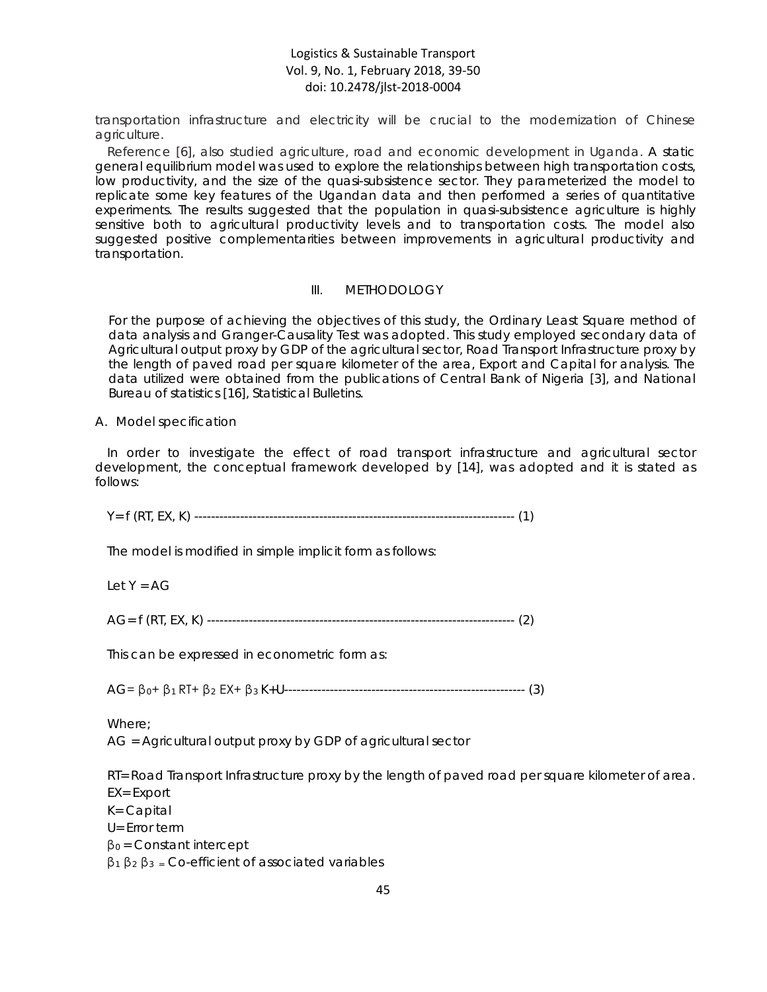transportation infrastructure and electricity will be crucial to the modernization of Chinese agriculture.

Reference [6], also studied agriculture, road and economic development in Uganda. A static general equilibrium model was used to explore the relationships between high transportation costs, low productivity, and the size of the quasi-subsistence sector. They parameterized the model to replicate some key features of the Ugandan data and then performed a series of quantitative experiments. The results suggested that the population in quasi-subsistence agriculture is highly sensitive both to agricultural productivity levels and to transportation costs. The model also suggested positive complementarities between improvements in agricultural productivity and transportation.

#### III. METHODOLOGY

For the purpose of achieving the objectives of this study, the Ordinary Least Square method of data analysis and Granger-Causality Test was adopted. This study employed secondary data of Agricultural output proxy by GDP of the agricultural sector, Road Transport Infrastructure proxy by the length of paved road per square kilometer of the area, Export and Capital for analysis. The data utilized were obtained from the publications of Central Bank of Nigeria [3], and National Bureau of statistics [16], Statistical Bulletins.

#### *A. Model specification*

In order to investigate the effect of road transport infrastructure and agricultural sector development, the conceptual framework developed by [14], was adopted and it is stated as follows:

Y= f (RT, EX, K) ----------------------------------------------------------------------------- (1)

The model is modified in simple implicit form as follows:

Let  $Y = AG$ 

AG= f (RT, EX, K) -------------------------------------------------------------------------- (2)

This can be expressed in econometric form as:

AG= β0+ β1 RT+ β<sup>2</sup> EX+ β3 K+U---------------------------------------------------------- (3)

Where;

AG = Agricultural output proxy by GDP of agricultural sector

RT= Road Transport Infrastructure proxy by the length of paved road per square kilometer of area.

EX= Export

K= Capital

U= Error term

 $β<sub>0</sub> = Constant intercept$ 

 $β_1 β_2 β_3 = Co\text{-efficient of associated variables}$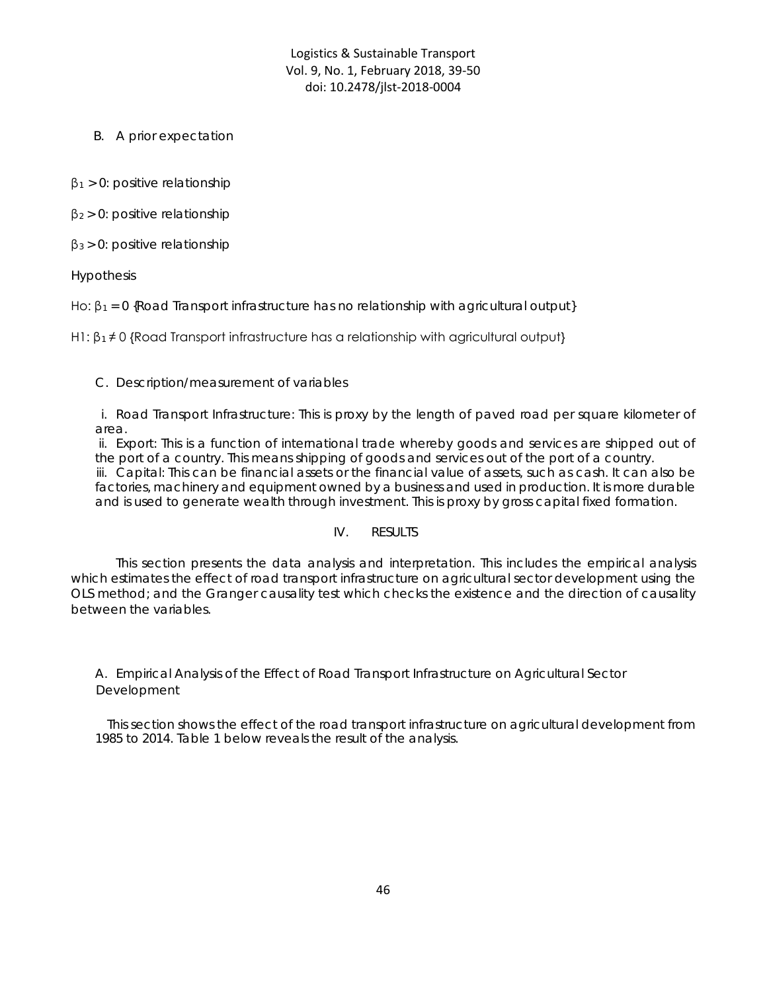*B. A prior expectation*

 $β<sub>1</sub> > 0$ : positive relationship

 $β<sub>2</sub> > 0$ : positive relationship

 $\beta_3 > 0$ : positive relationship

Hypothesis

Ho:  $\beta_1 = 0$  {Road Transport infrastructure has no relationship with agricultural output}

H1:  $\beta_1 \neq 0$  {Road Transport infrastructure has a relationship with agricultural output}

## *C. Description/measurement of variables*

i. Road Transport Infrastructure: This is proxy by the length of paved road per square kilometer of area.

ii. Export: This is a function of international trade whereby goods and services are shipped out of the port of a country. This means shipping of goods and services out of the port of a country. iii. Capital: This can be financial assets or the financial value of assets, such as cash. It can also be factories, machinery and equipment owned by a business and used in production. It is more durable and is used to generate wealth through investment. This is proxy by gross capital fixed formation.

## IV. RESULTS

This section presents the data analysis and interpretation. This includes the empirical analysis which estimates the effect of road transport infrastructure on agricultural sector development using the OLS method; and the Granger causality test which checks the existence and the direction of causality between the variables.

## *A. Empirical Analysis of the Effect of Road Transport Infrastructure on Agricultural Sector Development*

This section shows the effect of the road transport infrastructure on agricultural development from 1985 to 2014. Table 1 below reveals the result of the analysis.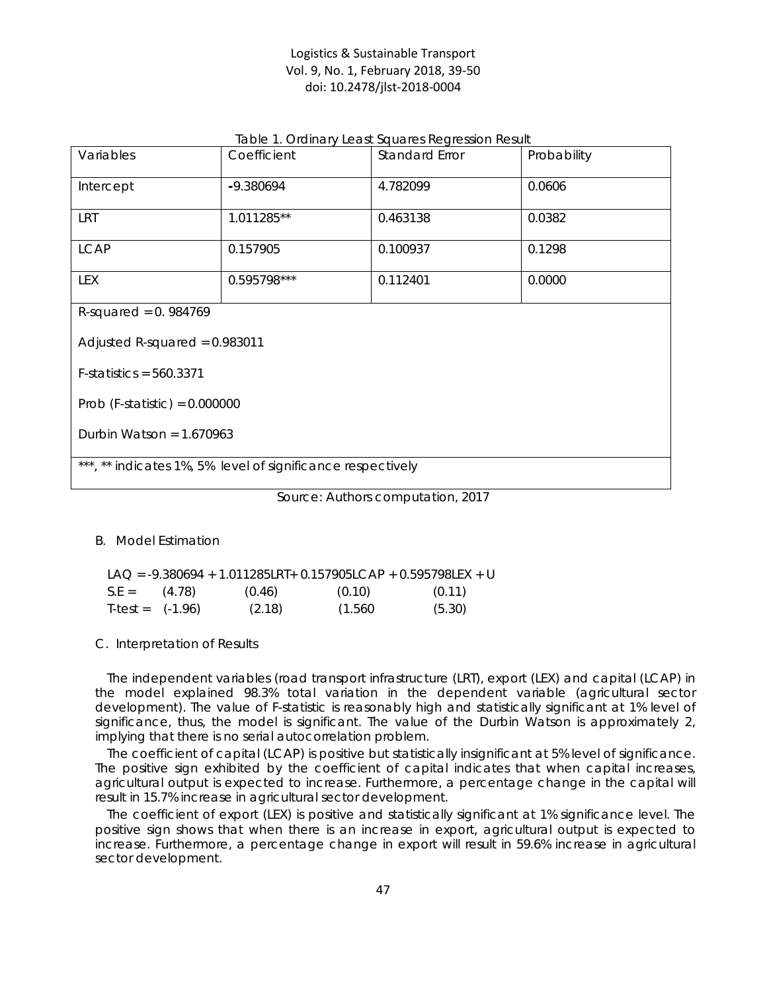|  |  | Table 1. Ordinary Least Squares Regression Result |  |
|--|--|---------------------------------------------------|--|
|--|--|---------------------------------------------------|--|

| Variables                                                   | Coefficient | Standard Error | Probability |  |  |
|-------------------------------------------------------------|-------------|----------------|-------------|--|--|
| Intercept                                                   | -9.380694   | 4.782099       | 0.0606      |  |  |
| <b>LRT</b>                                                  | 1.011285**  | 0.463138       | 0.0382      |  |  |
| <b>LCAP</b>                                                 | 0.157905    | 0.100937       | 0.1298      |  |  |
| LEX                                                         | 0.595798*** | 0.112401       | 0.0000      |  |  |
| R-squared = $0.984769$                                      |             |                |             |  |  |
| Adjusted R-squared = $0.983011$                             |             |                |             |  |  |
| $F-statistics = 560.3371$                                   |             |                |             |  |  |
| Prob (F-statistic) = $0.000000$                             |             |                |             |  |  |
| Durbin Watson = $1.670963$                                  |             |                |             |  |  |
| ***, ** indicates 1%, 5% level of significance respectively |             |                |             |  |  |

Source: Authors computation, 2017

#### *B. Model Estimation*

|                    |        | LAO = $-9.380694 + 1.011285LRT + 0.157905LCAP + 0.595798LEX + U$ |        |
|--------------------|--------|------------------------------------------------------------------|--------|
| $S.E = (4.78)$     | (0.46) | (0.10)                                                           | (0.11) |
| $T-test = (-1.96)$ | (2.18) | (1.560                                                           | (5.30) |

#### *C. Interpretation of Results*

The independent variables (road transport infrastructure (LRT), export (LEX) and capital (LCAP) in the model explained 98.3% total variation in the dependent variable (agricultural sector development). The value of F-statistic is reasonably high and statistically significant at 1% level of significance, thus, the model is significant. The value of the Durbin Watson is approximately 2, implying that there is no serial autocorrelation problem.

The coefficient of capital (LCAP) is positive but statistically insignificant at 5% level of significance. The positive sign exhibited by the coefficient of capital indicates that when capital increases, agricultural output is expected to increase. Furthermore, a percentage change in the capital will result in 15.7% increase in agricultural sector development.

The coefficient of export (LEX) is positive and statistically significant at 1% significance level. The positive sign shows that when there is an increase in export, agricultural output is expected to increase. Furthermore, a percentage change in export will result in 59.6% increase in agricultural sector development.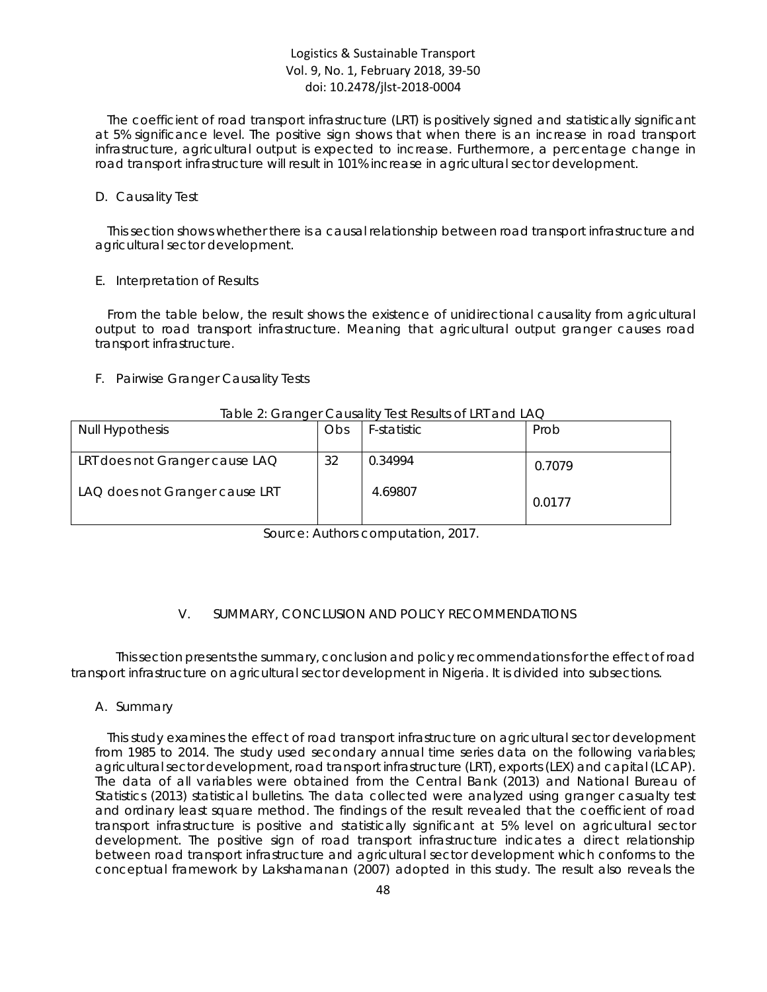The coefficient of road transport infrastructure (LRT) is positively signed and statistically significant at 5% significance level. The positive sign shows that when there is an increase in road transport infrastructure, agricultural output is expected to increase. Furthermore, a percentage change in road transport infrastructure will result in 101% increase in agricultural sector development.

#### *D. Causality Test*

This section shows whether there is a causal relationship between road transport infrastructure and agricultural sector development.

#### *E. Interpretation of Results*

From the table below, the result shows the existence of unidirectional causality from agricultural output to road transport infrastructure. Meaning that agricultural output granger causes road transport infrastructure.

### *F. Pairwise Granger Causality Tests*

#### Table 2: Granger Causality Test Results of LRT and LAQ

| <b>Null Hypothesis</b>         | Obs | F-statistic | Prob   |
|--------------------------------|-----|-------------|--------|
| LRT does not Granger cause LAQ | 32  | 0.34994     | 0.7079 |
| LAQ does not Granger cause LRT |     | 4.69807     | 0.0177 |

Source: Authors computation, 2017.

#### V. SUMMARY, CONCLUSION AND POLICY RECOMMENDATIONS

This section presents the summary, conclusion and policy recommendations for the effect of road transport infrastructure on agricultural sector development in Nigeria. It is divided into subsections.

#### *A. Summary*

This study examines the effect of road transport infrastructure on agricultural sector development from 1985 to 2014. The study used secondary annual time series data on the following variables; agricultural sector development, road transport infrastructure (LRT), exports (LEX) and capital (LCAP). The data of all variables were obtained from the Central Bank (2013) and National Bureau of Statistics (2013) statistical bulletins. The data collected were analyzed using granger casualty test and ordinary least square method. The findings of the result revealed that the coefficient of road transport infrastructure is positive and statistically significant at 5% level on agricultural sector development. The positive sign of road transport infrastructure indicates a direct relationship between road transport infrastructure and agricultural sector development which conforms to the conceptual framework by Lakshamanan (2007) adopted in this study. The result also reveals the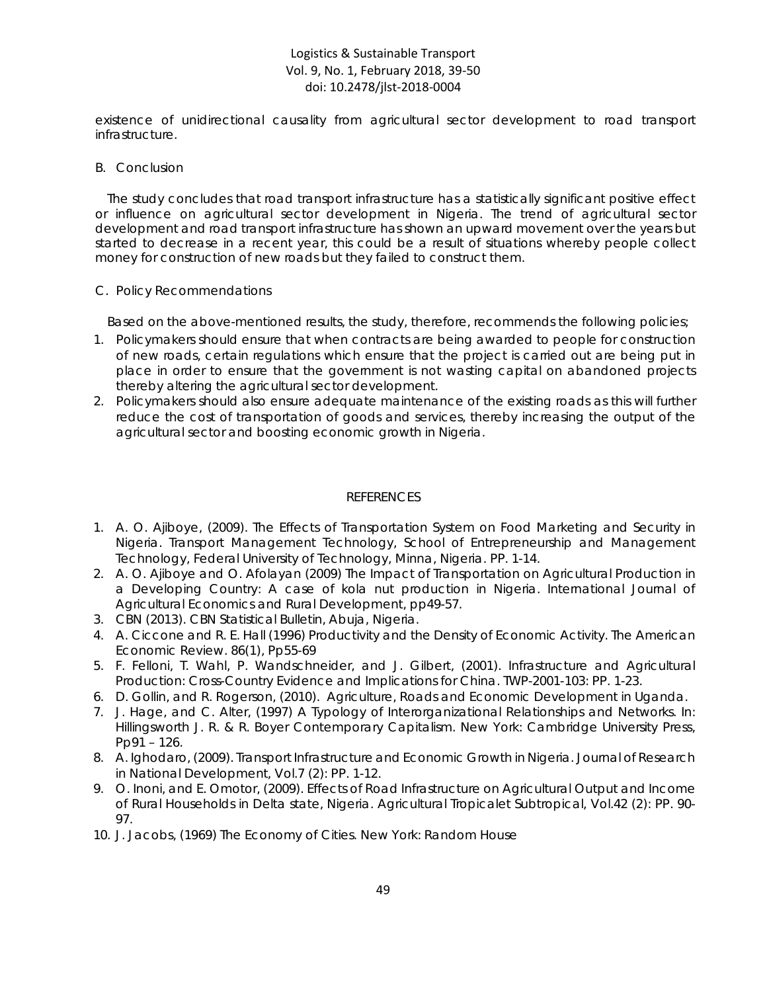existence of unidirectional causality from agricultural sector development to road transport infrastructure.

## *B. Conclusion*

The study concludes that road transport infrastructure has a statistically significant positive effect or influence on agricultural sector development in Nigeria. The trend of agricultural sector development and road transport infrastructure has shown an upward movement over the years but started to decrease in a recent year, this could be a result of situations whereby people collect money for construction of new roads but they failed to construct them.

## *C. Policy Recommendations*

Based on the above-mentioned results, the study, therefore, recommends the following policies;

- 1. Policymakers should ensure that when contracts are being awarded to people for construction of new roads, certain regulations which ensure that the project is carried out are being put in place in order to ensure that the government is not wasting capital on abandoned projects thereby altering the agricultural sector development.
- 2. Policymakers should also ensure adequate maintenance of the existing roads as this will further reduce the cost of transportation of goods and services, thereby increasing the output of the agricultural sector and boosting economic growth in Nigeria.

## REFERENCES

- 1. A. O. Ajiboye, (2009). The Effects of Transportation System on Food Marketing and Security in Nigeria. *Transport Management Technology, School of Entrepreneurship and Management Technology, Federal University of Technology, Minna, Nigeria.* PP. 1-14.
- 2. A. O. Ajiboye and O. Afolayan (2009) The Impact of Transportation on Agricultural Production in a Developing Country: A case of kola nut production in Nigeria. *International Journal of Agricultural Economics and Rural Development*, pp49-57.
- *3.* CBN (2013). CBN Statistical Bulletin, *Abuja, Nigeria.*
- *4.* A. Ciccone and R. E. Hall (1996) Productivity and the Density of Economic Activity. The American Economic Review. 86(1), Pp55-69
- 5. F. Felloni, T. Wahl, P. Wandschneider, and J. Gilbert, (2001). Infrastructure and Agricultural Production: Cross-Country Evidence and Implications for China. *TWP-2001-103*: PP. 1-23.
- 6. D. Gollin, and R. Rogerson, (2010). Agriculture, Roads and Economic Development in Uganda.
- 7. J. Hage, and C. Alter, (1997) A Typology of Interorganizational Relationships and Networks. In: Hillingsworth J. R. & R. Boyer Contemporary Capitalism. New York: Cambridge University Press, Pp91 – 126.
- 8. A. Ighodaro, (2009). Transport Infrastructure and Economic Growth in Nigeria. *Journal of Research in National Development,* Vol.7 (2): PP. 1-12.
- 9. O. Inoni, and E. Omotor, (2009). Effects of Road Infrastructure on Agricultural Output and Income of Rural Households in Delta state, Nigeria. *Agricultural Tropicalet Subtropical,* Vol.42 (2): PP. 90- 97.
- 10. J. Jacobs, (1969) The Economy of Cities. New York: Random House